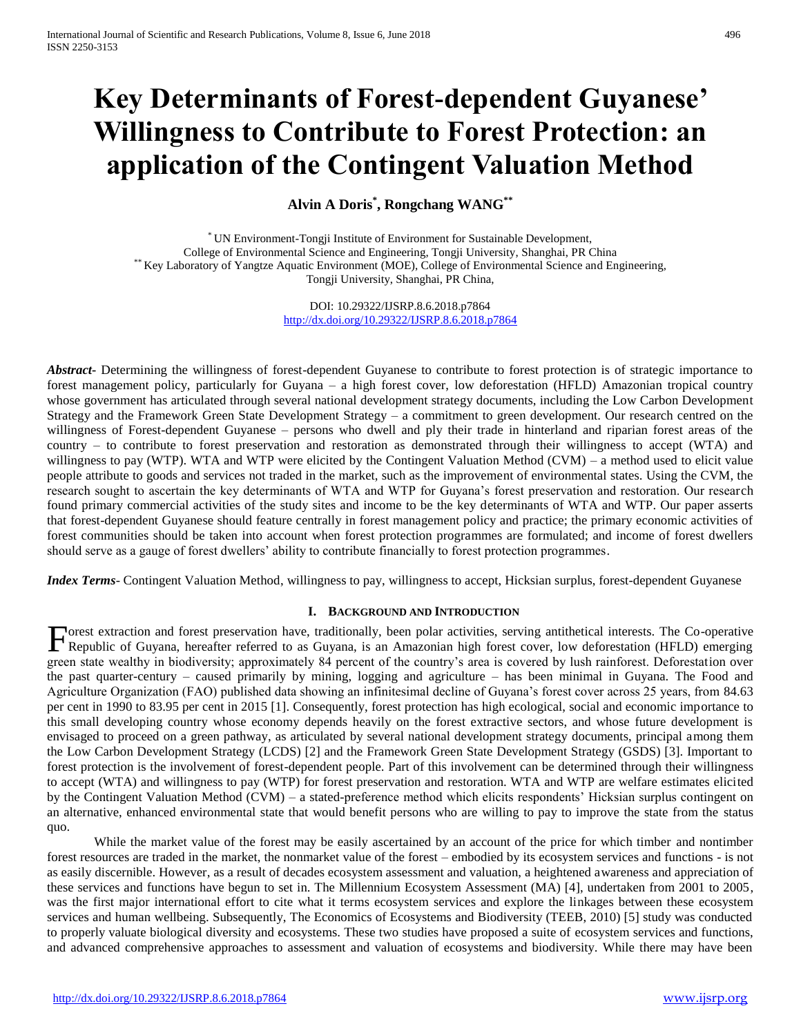# **Key Determinants of Forest-dependent Guyanese' Willingness to Contribute to Forest Protection: an application of the Contingent Valuation Method**

**Alvin A Doris\* , Rongchang WANG\*\***

\* UN Environment-Tongji Institute of Environment for Sustainable Development, College of Environmental Science and Engineering, Tongji University, Shanghai, PR China \*\* Key Laboratory of Yangtze Aquatic Environment (MOE), College of Environmental Science and Engineering, Tongji University, Shanghai, PR China,

> DOI: 10.29322/IJSRP.8.6.2018.p7864 <http://dx.doi.org/10.29322/IJSRP.8.6.2018.p7864>

*Abstract***-** Determining the willingness of forest-dependent Guyanese to contribute to forest protection is of strategic importance to forest management policy, particularly for Guyana – a high forest cover, low deforestation (HFLD) Amazonian tropical country whose government has articulated through several national development strategy documents, including the Low Carbon Development Strategy and the Framework Green State Development Strategy – a commitment to green development. Our research centred on the willingness of Forest-dependent Guyanese – persons who dwell and ply their trade in hinterland and riparian forest areas of the country – to contribute to forest preservation and restoration as demonstrated through their willingness to accept (WTA) and willingness to pay (WTP). WTA and WTP were elicited by the Contingent Valuation Method (CVM) – a method used to elicit value people attribute to goods and services not traded in the market, such as the improvement of environmental states. Using the CVM, the research sought to ascertain the key determinants of WTA and WTP for Guyana's forest preservation and restoration. Our research found primary commercial activities of the study sites and income to be the key determinants of WTA and WTP. Our paper asserts that forest-dependent Guyanese should feature centrally in forest management policy and practice; the primary economic activities of forest communities should be taken into account when forest protection programmes are formulated; and income of forest dwellers should serve as a gauge of forest dwellers' ability to contribute financially to forest protection programmes.

*Index Terms*- Contingent Valuation Method, willingness to pay, willingness to accept, Hicksian surplus, forest-dependent Guyanese

# **I. BACKGROUND AND INTRODUCTION**

orest extraction and forest preservation have, traditionally, been polar activities, serving antithetical interests. The Co-operative Forest extraction and forest preservation have, traditionally, been polar activities, serving antithetical interests. The Co-operative Republic of Guyana, hereafter referred to as Guyana, is an Amazonian high forest cover, green state wealthy in biodiversity; approximately 84 percent of the country's area is covered by lush rainforest. Deforestation over the past quarter-century – caused primarily by mining, logging and agriculture – has been minimal in Guyana. The Food and Agriculture Organization (FAO) published data showing an infinitesimal decline of Guyana's forest cover across 25 years, from 84.63 per cent in 1990 to 83.95 per cent in 2015 [1]. Consequently, forest protection has high ecological, social and economic importance to this small developing country whose economy depends heavily on the forest extractive sectors, and whose future development is envisaged to proceed on a green pathway, as articulated by several national development strategy documents, principal among them the Low Carbon Development Strategy (LCDS) [2] and the Framework Green State Development Strategy (GSDS) [3]. Important to forest protection is the involvement of forest-dependent people. Part of this involvement can be determined through their willingness to accept (WTA) and willingness to pay (WTP) for forest preservation and restoration. WTA and WTP are welfare estimates elicited by the Contingent Valuation Method (CVM) – a stated-preference method which elicits respondents' Hicksian surplus contingent on an alternative, enhanced environmental state that would benefit persons who are willing to pay to improve the state from the status quo.

While the market value of the forest may be easily ascertained by an account of the price for which timber and nontimber forest resources are traded in the market, the nonmarket value of the forest – embodied by its ecosystem services and functions - is not as easily discernible. However, as a result of decades ecosystem assessment and valuation, a heightened awareness and appreciation of these services and functions have begun to set in. The Millennium Ecosystem Assessment (MA) [4], undertaken from 2001 to 2005, was the first major international effort to cite what it terms ecosystem services and explore the linkages between these ecosystem services and human wellbeing. Subsequently, The Economics of Ecosystems and Biodiversity (TEEB, 2010) [5] study was conducted to properly valuate biological diversity and ecosystems. These two studies have proposed a suite of ecosystem services and functions, and advanced comprehensive approaches to assessment and valuation of ecosystems and biodiversity. While there may have been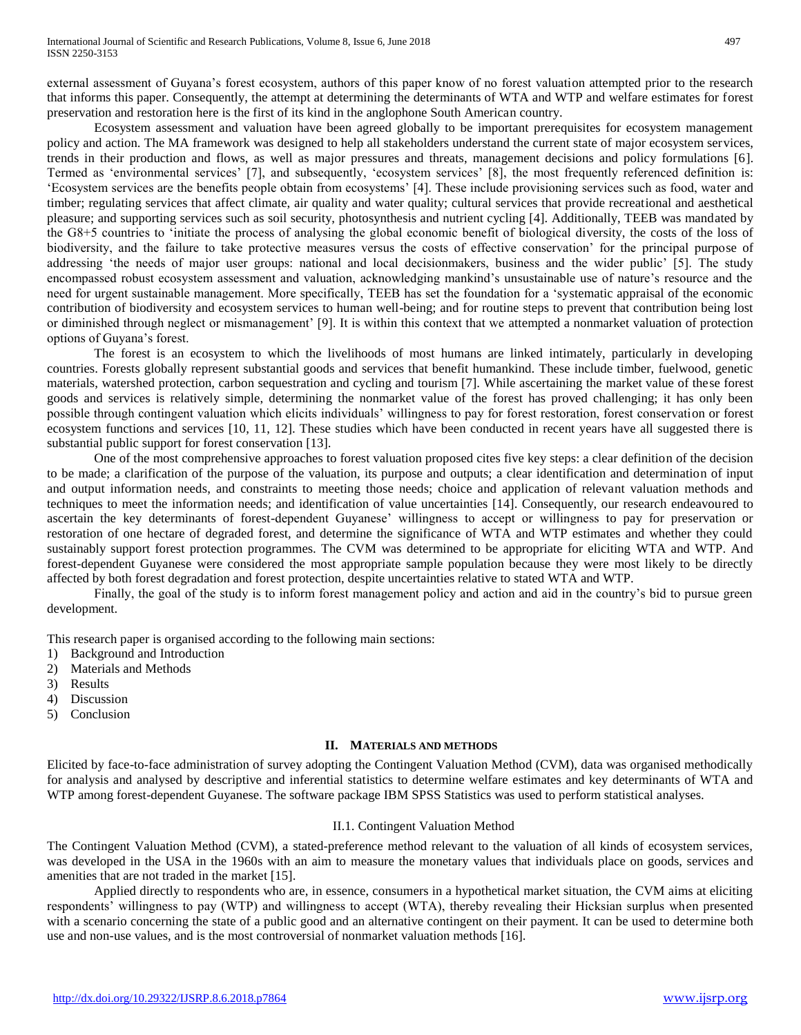external assessment of Guyana's forest ecosystem, authors of this paper know of no forest valuation attempted prior to the research that informs this paper. Consequently, the attempt at determining the determinants of WTA and WTP and welfare estimates for forest preservation and restoration here is the first of its kind in the anglophone South American country.

Ecosystem assessment and valuation have been agreed globally to be important prerequisites for ecosystem management policy and action. The MA framework was designed to help all stakeholders understand the current state of major ecosystem services, trends in their production and flows, as well as major pressures and threats, management decisions and policy formulations [6]. Termed as 'environmental services' [7], and subsequently, 'ecosystem services' [8], the most frequently referenced definition is: 'Ecosystem services are the benefits people obtain from ecosystems' [4]. These include provisioning services such as food, water and timber; regulating services that affect climate, air quality and water quality; cultural services that provide recreational and aesthetical pleasure; and supporting services such as soil security, photosynthesis and nutrient cycling [4]. Additionally, TEEB was mandated by the G8+5 countries to 'initiate the process of analysing the global economic benefit of biological diversity, the costs of the loss of biodiversity, and the failure to take protective measures versus the costs of effective conservation' for the principal purpose of addressing 'the needs of major user groups: national and local decisionmakers, business and the wider public' [5]. The study encompassed robust ecosystem assessment and valuation, acknowledging mankind's unsustainable use of nature's resource and the need for urgent sustainable management. More specifically, TEEB has set the foundation for a 'systematic appraisal of the economic contribution of biodiversity and ecosystem services to human well-being; and for routine steps to prevent that contribution being lost or diminished through neglect or mismanagement' [9]. It is within this context that we attempted a nonmarket valuation of protection options of Guyana's forest.

The forest is an ecosystem to which the livelihoods of most humans are linked intimately, particularly in developing countries. Forests globally represent substantial goods and services that benefit humankind. These include timber, fuelwood, genetic materials, watershed protection, carbon sequestration and cycling and tourism [7]. While ascertaining the market value of these forest goods and services is relatively simple, determining the nonmarket value of the forest has proved challenging; it has only been possible through contingent valuation which elicits individuals' willingness to pay for forest restoration, forest conservation or forest ecosystem functions and services [10, 11, 12]. These studies which have been conducted in recent years have all suggested there is substantial public support for forest conservation [13].

One of the most comprehensive approaches to forest valuation proposed cites five key steps: a clear definition of the decision to be made; a clarification of the purpose of the valuation, its purpose and outputs; a clear identification and determination of input and output information needs, and constraints to meeting those needs; choice and application of relevant valuation methods and techniques to meet the information needs; and identification of value uncertainties [14]. Consequently, our research endeavoured to ascertain the key determinants of forest-dependent Guyanese' willingness to accept or willingness to pay for preservation or restoration of one hectare of degraded forest, and determine the significance of WTA and WTP estimates and whether they could sustainably support forest protection programmes. The CVM was determined to be appropriate for eliciting WTA and WTP. And forest-dependent Guyanese were considered the most appropriate sample population because they were most likely to be directly affected by both forest degradation and forest protection, despite uncertainties relative to stated WTA and WTP.

Finally, the goal of the study is to inform forest management policy and action and aid in the country's bid to pursue green development.

This research paper is organised according to the following main sections:

- 1) Background and Introduction
- 2) Materials and Methods
- 3) Results
- 4) Discussion
- 5) Conclusion

#### **II. MATERIALS AND METHODS**

Elicited by face-to-face administration of survey adopting the Contingent Valuation Method (CVM), data was organised methodically for analysis and analysed by descriptive and inferential statistics to determine welfare estimates and key determinants of WTA and WTP among forest-dependent Guyanese. The software package IBM SPSS Statistics was used to perform statistical analyses.

## II.1. Contingent Valuation Method

The Contingent Valuation Method (CVM), a stated-preference method relevant to the valuation of all kinds of ecosystem services, was developed in the USA in the 1960s with an aim to measure the monetary values that individuals place on goods, services and amenities that are not traded in the market [15].

Applied directly to respondents who are, in essence, consumers in a hypothetical market situation, the CVM aims at eliciting respondents' willingness to pay (WTP) and willingness to accept (WTA), thereby revealing their Hicksian surplus when presented with a scenario concerning the state of a public good and an alternative contingent on their payment. It can be used to determine both use and non-use values, and is the most controversial of nonmarket valuation methods [16].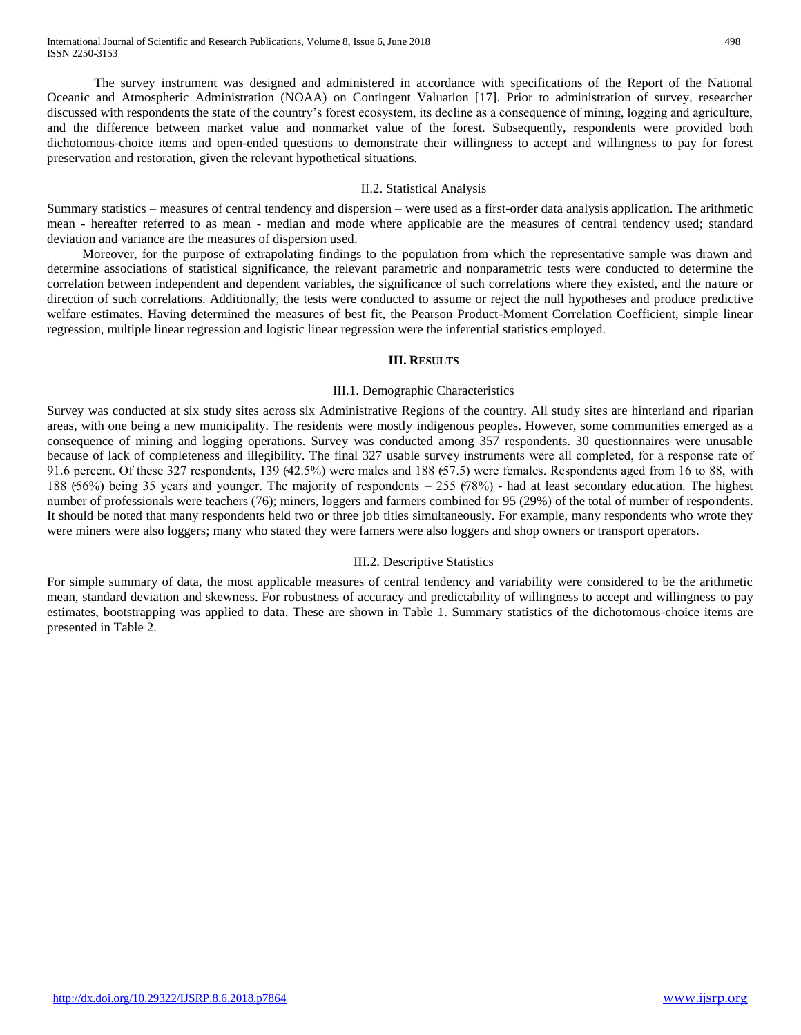The survey instrument was designed and administered in accordance with specifications of the Report of the National Oceanic and Atmospheric Administration (NOAA) on Contingent Valuation [17]. Prior to administration of survey, researcher discussed with respondents the state of the country's forest ecosystem, its decline as a consequence of mining, logging and agriculture, and the difference between market value and nonmarket value of the forest. Subsequently, respondents were provided both dichotomous-choice items and open-ended questions to demonstrate their willingness to accept and willingness to pay for forest preservation and restoration, given the relevant hypothetical situations.

## II.2. Statistical Analysis

Summary statistics – measures of central tendency and dispersion – were used as a first-order data analysis application. The arithmetic mean - hereafter referred to as mean - median and mode where applicable are the measures of central tendency used; standard deviation and variance are the measures of dispersion used.

Moreover, for the purpose of extrapolating findings to the population from which the representative sample was drawn and determine associations of statistical significance, the relevant parametric and nonparametric tests were conducted to determine the correlation between independent and dependent variables, the significance of such correlations where they existed, and the nature or direction of such correlations. Additionally, the tests were conducted to assume or reject the null hypotheses and produce predictive welfare estimates. Having determined the measures of best fit, the Pearson Product-Moment Correlation Coefficient, simple linear regression, multiple linear regression and logistic linear regression were the inferential statistics employed.

## **III. RESULTS**

#### III.1. Demographic Characteristics

Survey was conducted at six study sites across six Administrative Regions of the country. All study sites are hinterland and riparian areas, with one being a new municipality. The residents were mostly indigenous peoples. However, some communities emerged as a consequence of mining and logging operations. Survey was conducted among 357 respondents. 30 questionnaires were unusable because of lack of completeness and illegibility. The final 327 usable survey instruments were all completed, for a response rate of 91.6 percent. Of these 327 respondents, 139  $(42.5%)$  were males and 188  $(57.5)$  were females. Respondents aged from 16 to 88, with 188 ( $56\%$ ) being 35 years and younger. The majority of respondents  $-255$  ( $78\%$ ) - had at least secondary education. The highest number of professionals were teachers (76); miners, loggers and farmers combined for 95 (29%) of the total of number of respondents. It should be noted that many respondents held two or three job titles simultaneously. For example, many respondents who wrote they were miners were also loggers; many who stated they were famers were also loggers and shop owners or transport operators.

## III.2. Descriptive Statistics

For simple summary of data, the most applicable measures of central tendency and variability were considered to be the arithmetic mean, standard deviation and skewness. For robustness of accuracy and predictability of willingness to accept and willingness to pay estimates, bootstrapping was applied to data. These are shown in Table 1. Summary statistics of the dichotomous-choice items are presented in Table 2.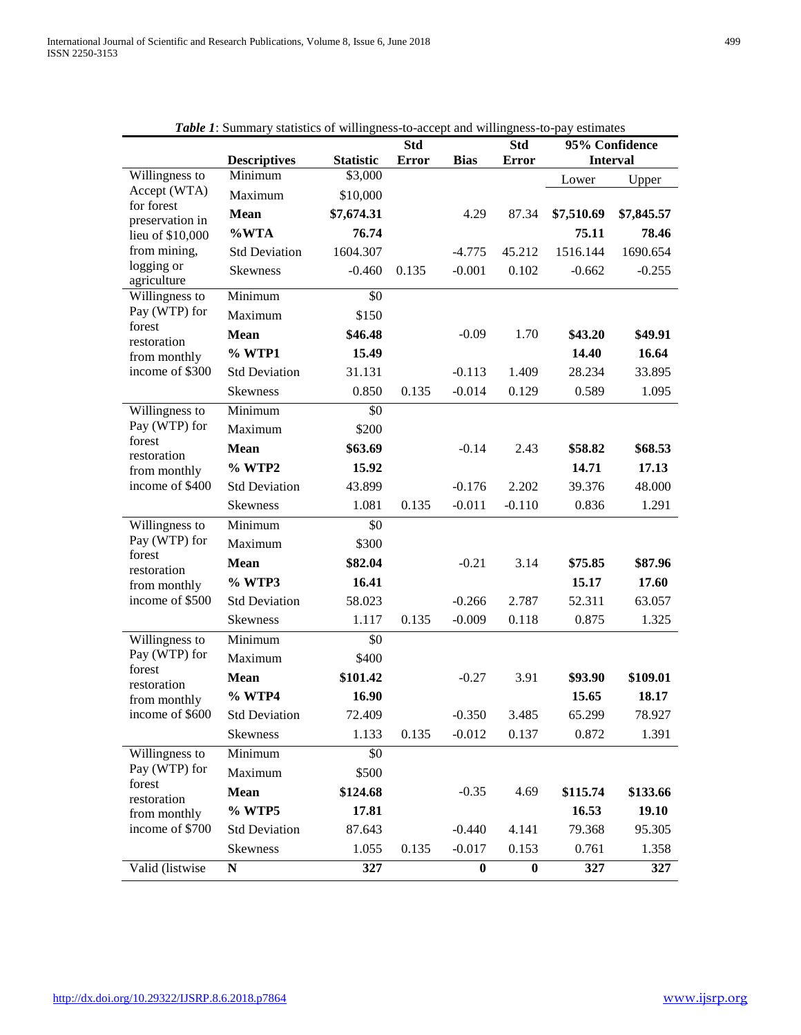|                             | <b>Table 1.</b> Summary statistics of winingness-to-accept and winingness-to-pay estimates |                  | <b>Std</b>   |             | <b>Std</b>       |            | 95% Confidence  |
|-----------------------------|--------------------------------------------------------------------------------------------|------------------|--------------|-------------|------------------|------------|-----------------|
|                             | <b>Descriptives</b>                                                                        | <b>Statistic</b> | <b>Error</b> | <b>Bias</b> | <b>Error</b>     |            | <b>Interval</b> |
| Willingness to              | $\overline{\text{Minimum}}$                                                                | \$3,000          |              |             |                  | Lower      | Upper           |
| Accept (WTA)<br>for forest  | Maximum                                                                                    | \$10,000         |              |             |                  |            |                 |
| preservation in             | Mean                                                                                       | \$7,674.31       |              | 4.29        | 87.34            | \$7,510.69 | \$7,845.57      |
| lieu of \$10,000            | %WTA                                                                                       | 76.74            |              |             |                  | 75.11      | 78.46           |
| from mining,                | <b>Std Deviation</b>                                                                       | 1604.307         |              | $-4.775$    | 45.212           | 1516.144   | 1690.654        |
| logging or<br>agriculture   | <b>Skewness</b>                                                                            | $-0.460$         | 0.135        | $-0.001$    | 0.102            | $-0.662$   | $-0.255$        |
| Willingness to              | Minimum                                                                                    | \$0              |              |             |                  |            |                 |
| Pay (WTP) for<br>forest     | Maximum                                                                                    | \$150            |              |             |                  |            |                 |
| restoration                 | <b>Mean</b>                                                                                | \$46.48          |              | $-0.09$     | 1.70             | \$43.20    | \$49.91         |
| from monthly                | % WTP1                                                                                     | 15.49            |              |             |                  | 14.40      | 16.64           |
| income of \$300             | <b>Std Deviation</b>                                                                       | 31.131           |              | $-0.113$    | 1.409            | 28.234     | 33.895          |
|                             | <b>Skewness</b>                                                                            | 0.850            | 0.135        | $-0.014$    | 0.129            | 0.589      | 1.095           |
| Willingness to              | Minimum                                                                                    | \$0              |              |             |                  |            |                 |
| Pay (WTP) for               | Maximum                                                                                    | \$200            |              |             |                  |            |                 |
| forest<br>restoration       | <b>Mean</b>                                                                                | \$63.69          |              | $-0.14$     | 2.43             | \$58.82    | \$68.53         |
| from monthly                | % WTP2                                                                                     | 15.92            |              |             |                  | 14.71      | 17.13           |
| income of \$400             | <b>Std Deviation</b>                                                                       | 43.899           |              | $-0.176$    | 2.202            | 39.376     | 48.000          |
|                             | Skewness                                                                                   | 1.081            | 0.135        | $-0.011$    | $-0.110$         | 0.836      | 1.291           |
| Willingness to              | Minimum                                                                                    | \$0              |              |             |                  |            |                 |
| Pay (WTP) for               | Maximum                                                                                    | \$300            |              |             |                  |            |                 |
| forest                      | <b>Mean</b>                                                                                | \$82.04          |              | $-0.21$     | 3.14             | \$75.85    | \$87.96         |
| restoration<br>from monthly | % WTP3                                                                                     | 16.41            |              |             |                  | 15.17      | 17.60           |
| income of \$500             | <b>Std Deviation</b>                                                                       | 58.023           |              | $-0.266$    | 2.787            | 52.311     | 63.057          |
|                             | Skewness                                                                                   | 1.117            | 0.135        | $-0.009$    | 0.118            | 0.875      | 1.325           |
| Willingness to              | Minimum                                                                                    | \$0              |              |             |                  |            |                 |
| Pay (WTP) for               | Maximum                                                                                    | \$400            |              |             |                  |            |                 |
| forest                      | <b>Mean</b>                                                                                | \$101.42         |              | $-0.27$     | 3.91             | \$93.90    | \$109.01        |
| restoration<br>from monthly | % WTP4                                                                                     | 16.90            |              |             |                  | 15.65      | 18.17           |
| income of \$600             | <b>Std Deviation</b>                                                                       | 72.409           |              | $-0.350$    | 3.485            | 65.299     | 78.927          |
|                             | <b>Skewness</b>                                                                            | 1.133            | 0.135        | $-0.012$    | 0.137            | 0.872      | 1.391           |
| Willingness to              | Minimum                                                                                    | \$0              |              |             |                  |            |                 |
| Pay (WTP) for               | Maximum                                                                                    | \$500            |              |             |                  |            |                 |
| forest                      | <b>Mean</b>                                                                                | \$124.68         |              | $-0.35$     | 4.69             | \$115.74   | \$133.66        |
| restoration<br>from monthly | % WTP5                                                                                     | 17.81            |              |             |                  | 16.53      | 19.10           |
| income of \$700             | <b>Std Deviation</b>                                                                       | 87.643           |              | $-0.440$    | 4.141            | 79.368     | 95.305          |
|                             | Skewness                                                                                   | 1.055            | 0.135        | $-0.017$    | 0.153            | 0.761      | 1.358           |
| Valid (listwise             | ${\bf N}$                                                                                  | 327              |              | $\bf{0}$    | $\boldsymbol{0}$ | 327        | 327             |
|                             |                                                                                            |                  |              |             |                  |            |                 |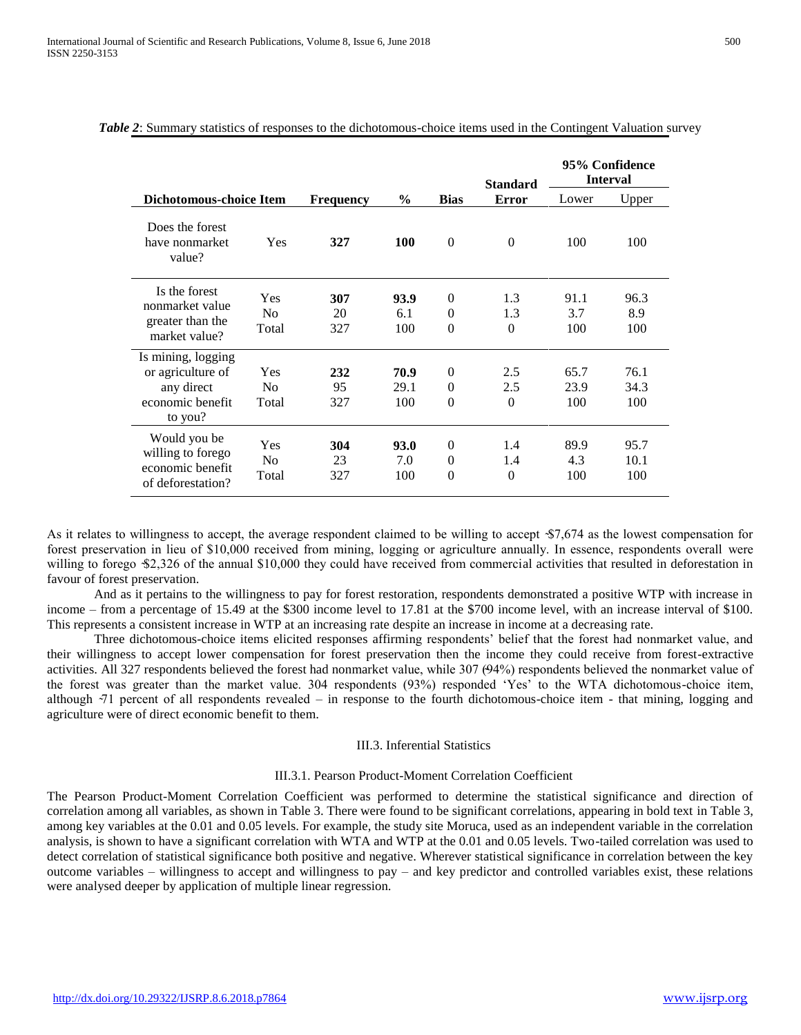|                                                                                      |                                |                  |                     |                                  | <b>Standard</b>        |                     | 95% Confidence<br><b>Interval</b> |
|--------------------------------------------------------------------------------------|--------------------------------|------------------|---------------------|----------------------------------|------------------------|---------------------|-----------------------------------|
| Dichotomous-choice Item                                                              |                                | <b>Frequency</b> | $\frac{6}{9}$       | <b>Bias</b>                      | <b>Error</b>           | Lower               | Upper                             |
| Does the forest<br>have nonmarket<br>value?                                          | Yes                            | 327              | <b>100</b>          | $\Omega$                         | $\Omega$               | 100                 | 100                               |
| Is the forest<br>nonmarket value<br>greater than the<br>market value?                | Yes<br>N <sub>0</sub><br>Total | 307<br>20<br>327 | 93.9<br>6.1<br>100  | $\theta$<br>$\Omega$<br>$\theta$ | 1.3<br>1.3<br>$\Omega$ | 91.1<br>3.7<br>100  | 96.3<br>8.9<br>100                |
| Is mining, logging<br>or agriculture of<br>any direct<br>economic benefit<br>to you? | Yes<br>N <sub>0</sub><br>Total | 232<br>95<br>327 | 70.9<br>29.1<br>100 | $\theta$<br>$\Omega$<br>$\theta$ | 2.5<br>2.5<br>$\Omega$ | 65.7<br>23.9<br>100 | 76.1<br>34.3<br>100               |
| Would you be<br>willing to forego<br>economic benefit<br>of deforestation?           | Yes<br>N <sub>0</sub><br>Total | 304<br>23<br>327 | 93.0<br>7.0<br>100  | $\theta$<br>$\theta$<br>$\theta$ | 1.4<br>1.4<br>$\Omega$ | 89.9<br>4.3<br>100  | 95.7<br>10.1<br>100               |

## *Table 2*: Summary statistics of responses to the dichotomous-choice items used in the Contingent Valuation survey

As it relates to willingness to accept, the average respondent claimed to be willing to accept  $$7,674$  as the lowest compensation for forest preservation in lieu of \$10,000 received from mining, logging or agriculture annually. In essence, respondents overall were willing to forego \$2,326 of the annual \$10,000 they could have received from commercial activities that resulted in deforestation in favour of forest preservation.

And as it pertains to the willingness to pay for forest restoration, respondents demonstrated a positive WTP with increase in income – from a percentage of 15.49 at the \$300 income level to 17.81 at the \$700 income level, with an increase interval of \$100. This represents a consistent increase in WTP at an increasing rate despite an increase in income at a decreasing rate.

Three dichotomous-choice items elicited responses affirming respondents' belief that the forest had nonmarket value, and their willingness to accept lower compensation for forest preservation then the income they could receive from forest-extractive activities. All 327 respondents believed the forest had nonmarket value, while 307 (94%) respondents believed the nonmarket value of the forest was greater than the market value. 304 respondents (93%) responded 'Yes' to the WTA dichotomous-choice item, although  $\overline{71}$  percent of all respondents revealed – in response to the fourth dichotomous-choice item - that mining, logging and agriculture were of direct economic benefit to them.

## III.3. Inferential Statistics

#### III.3.1. Pearson Product-Moment Correlation Coefficient

The Pearson Product-Moment Correlation Coefficient was performed to determine the statistical significance and direction of correlation among all variables, as shown in Table 3. There were found to be significant correlations, appearing in bold text in Table 3, among key variables at the 0.01 and 0.05 levels. For example, the study site Moruca, used as an independent variable in the correlation analysis, is shown to have a significant correlation with WTA and WTP at the 0.01 and 0.05 levels. Two-tailed correlation was used to detect correlation of statistical significance both positive and negative. Wherever statistical significance in correlation between the key outcome variables – willingness to accept and willingness to pay – and key predictor and controlled variables exist, these relations were analysed deeper by application of multiple linear regression.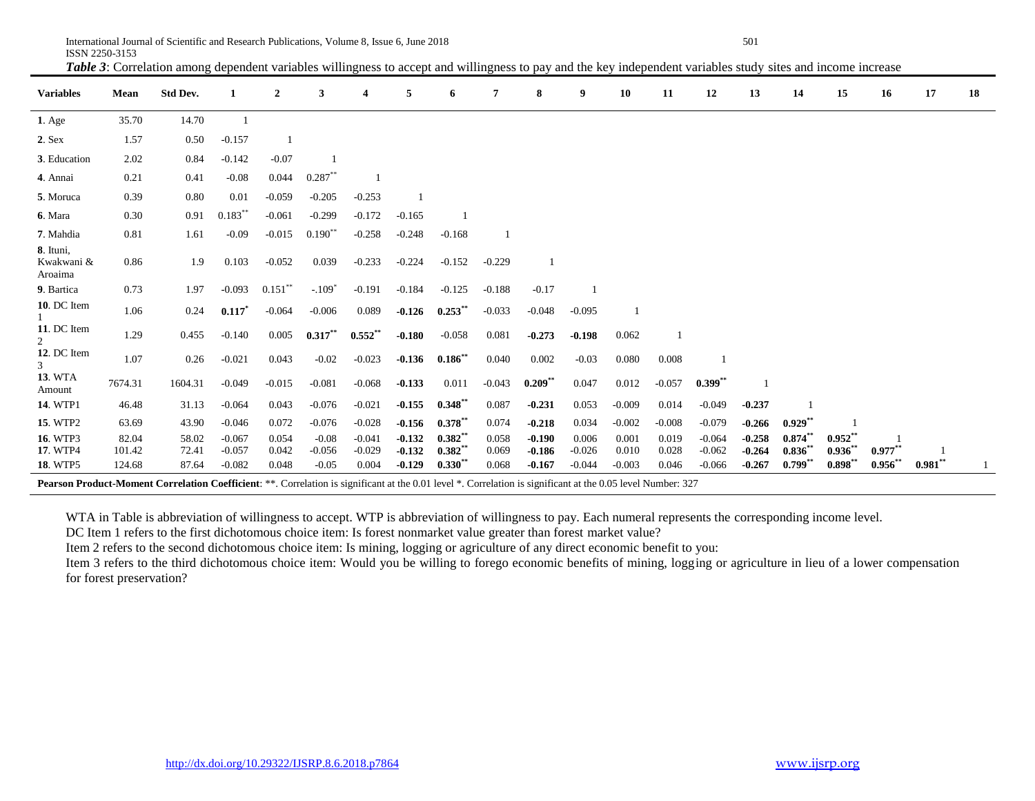International Journal of Scientific and Research Publications, Volume 8, Issue 6, June 2018 501 ISSN 2250-3153

**Variables Mean Std Dev. 1 2 3 4 5 6 7 8 9 10 11 12 13 14 15 16 17 18 1**. Age 35.70 14.70 1 **2**. Sex 1.57 0.50 -0.157 1 **3**. Education 2.02 0.84 -0.142 -0.07 1 **4**. Annai 0.21 0.41 -0.08 0.044 0.287\*\* 1 **5**. Moruca 0.39 0.80 0.01 -0.059 -0.205 -0.253 1 **6**. Mara **0.30 0.91 0.183**\* -0.061 -0.299 -0.172 -0.165 1 **7**. Mahdia 0.81 1.61 -0.09 -0.015 0.190<sup>\*\*</sup> -0.258 -0.248 -0.168 1 **8**. Ituni, Kwakwani & Aroaima 0.86 1.9 0.103 -0.052 0.039 -0.233 -0.224 -0.152 -0.229 1 **9**. Bartica  $0.73$  1.97 -0.093  $0.151$ <sup>\*\*</sup>  $-.109*$ -0.191 -0.184 -0.125 -0.188 -0.17 1 **10**. DC Item 1 1.06 0.24 **0.117\*** -0.064 -0.006 0.089 **-0.126 0.253\*\*** -0.033 -0.048 -0.095 1 **11**. DC Item 2 1.29 0.455 -0.140 0.005 **0.317\*\* 0.552\*\* -0.180** -0.058 0.081 **-0.273 -0.198** 0.062 1 **12**. DC Item 3 1.07 0.26 -0.021 0.043 -0.02 -0.023 **-0.136 0.186\*\*** 0.040 0.002 -0.03 0.080 0.008 1 **13**. WTA Amount 7674.31 1604.31 -0.049 -0.015 -0.081 -0.068 **-0.133** 0.011 -0.043 **0.209\*\*** 0.047 0.012 -0.057 **0.399\*\*** <sup>1</sup> **14**. WTP1 46.48 31.13 -0.064 0.043 -0.076 -0.021 **-0.155 0.348\*\*** 0.087 **-0.231** 0.053 -0.009 0.014 -0.049 **-0.237** 1 **15**. WTP2 63.69 43.90 -0.046 0.072 -0.076 -0.028 **-0.156 0.378\*\*** 0.074 **-0.218** 0.034 -0.002 -0.008 -0.079 **-0.266 0.929\*\*** 1 **16**. WTP3 82.04 58.02 -0.067 0.054 -0.08 -0.041 **-0.132 0.382\*\*** 0.058 **-0.190** 0.006 0.001 0.019 -0.064 **-0.258 0.874\*\* 0.952\*\*** 1 **17**. WTP4 101.42 72.41 -0.057 0.042 -0.056 -0.029 **-0.132 0.382\*\*** 0.069 **-0.186** -0.026 0.010 0.028 -0.062 **-0.264 0.836\*\* 0.936\*\* 0.977\*\*** 1 **18.** WTP5  $124.68$  87.64  $-0.082$  0.048  $-0.05$  0.004  $-0.129$  0.330<sup>\*\*</sup> 0.068  $-0.167$   $-0.044$   $-0.003$  0.046  $-0.066$   $-0.267$  0.799<sup>\*\*</sup> 0.981<sup>\*\*</sup> 0.981<sup>\*\*</sup> 1

*Table 3*: Correlation among dependent variables willingness to accept and willingness to pay and the key independent variables study sites and income increase

**Pearson Product-Moment Correlation Coefficient**: \*\*. Correlation is significant at the 0.01 level \*. Correlation is significant at the 0.05 level Number: 327

WTA in Table is abbreviation of willingness to accept. WTP is abbreviation of willingness to pay. Each numeral represents the corresponding income level.

DC Item 1 refers to the first dichotomous choice item: Is forest nonmarket value greater than forest market value?

Item 2 refers to the second dichotomous choice item: Is mining, logging or agriculture of any direct economic benefit to you:

Item 3 refers to the third dichotomous choice item: Would you be willing to forego economic benefits of mining, logging or agriculture in lieu of a lower compensation for forest preservation?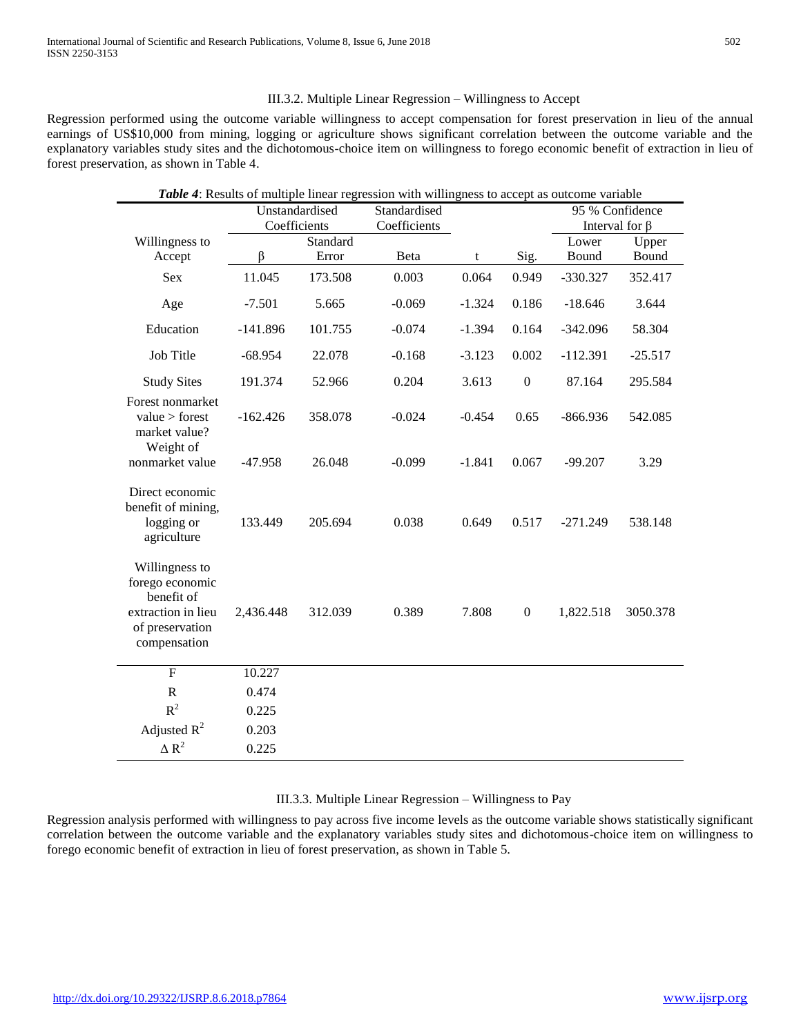÷.

## III.3.2. Multiple Linear Regression – Willingness to Accept

Regression performed using the outcome variable willingness to accept compensation for forest preservation in lieu of the annual earnings of US\$10,000 from mining, logging or agriculture shows significant correlation between the outcome variable and the explanatory variables study sites and the dichotomous-choice item on willingness to forego economic benefit of extraction in lieu of forest preservation, as shown in Table 4.

|                                                                                                          |                |                              | <b>Table 4:</b> Results of multiple linear regression with willingness to accept as outcome variable |          |                  |                      |           |
|----------------------------------------------------------------------------------------------------------|----------------|------------------------------|------------------------------------------------------------------------------------------------------|----------|------------------|----------------------|-----------|
|                                                                                                          | Unstandardised |                              | Standardised                                                                                         |          |                  | 95 % Confidence      |           |
|                                                                                                          |                | Coefficients<br>Coefficients |                                                                                                      |          |                  | Interval for $\beta$ |           |
| Willingness to                                                                                           |                | Standard                     |                                                                                                      |          |                  | Lower                | Upper     |
| Accept                                                                                                   | β              | Error                        | Beta                                                                                                 | t        | Sig.             | Bound                | Bound     |
| <b>Sex</b>                                                                                               | 11.045         | 173.508                      | 0.003                                                                                                | 0.064    | 0.949            | $-330.327$           | 352.417   |
| Age                                                                                                      | $-7.501$       | 5.665                        | $-0.069$                                                                                             | $-1.324$ | 0.186            | $-18.646$            | 3.644     |
| Education                                                                                                | $-141.896$     | 101.755                      | $-0.074$                                                                                             | $-1.394$ | 0.164            | $-342.096$           | 58.304    |
| Job Title                                                                                                | $-68.954$      | 22.078                       | $-0.168$                                                                                             | $-3.123$ | 0.002            | $-112.391$           | $-25.517$ |
| <b>Study Sites</b>                                                                                       | 191.374        | 52.966                       | 0.204                                                                                                | 3.613    | $\boldsymbol{0}$ | 87.164               | 295.584   |
| Forest nonmarket<br>value > forest<br>market value?<br>Weight of                                         | $-162.426$     | 358.078                      | $-0.024$                                                                                             | $-0.454$ | 0.65             | $-866.936$           | 542.085   |
| nonmarket value                                                                                          | $-47.958$      | 26.048                       | $-0.099$                                                                                             | $-1.841$ | 0.067            | $-99.207$            | 3.29      |
| Direct economic<br>benefit of mining,<br>logging or<br>agriculture                                       | 133.449        | 205.694                      | 0.038                                                                                                | 0.649    | 0.517            | $-271.249$           | 538.148   |
| Willingness to<br>forego economic<br>benefit of<br>extraction in lieu<br>of preservation<br>compensation | 2,436.448      | 312.039                      | 0.389                                                                                                | 7.808    | $\boldsymbol{0}$ | 1,822.518            | 3050.378  |
| $\mathbf{F}$                                                                                             | 10.227         |                              |                                                                                                      |          |                  |                      |           |
| $\mathbb{R}$                                                                                             | 0.474          |                              |                                                                                                      |          |                  |                      |           |
| $R^2$                                                                                                    | 0.225          |                              |                                                                                                      |          |                  |                      |           |
| Adjusted $R^2$                                                                                           | 0.203          |                              |                                                                                                      |          |                  |                      |           |
| $\Delta R^2$                                                                                             | 0.225          |                              |                                                                                                      |          |                  |                      |           |
|                                                                                                          |                |                              |                                                                                                      |          |                  |                      |           |

## III.3.3. Multiple Linear Regression – Willingness to Pay

Regression analysis performed with willingness to pay across five income levels as the outcome variable shows statistically significant correlation between the outcome variable and the explanatory variables study sites and dichotomous-choice item on willingness to forego economic benefit of extraction in lieu of forest preservation, as shown in Table 5.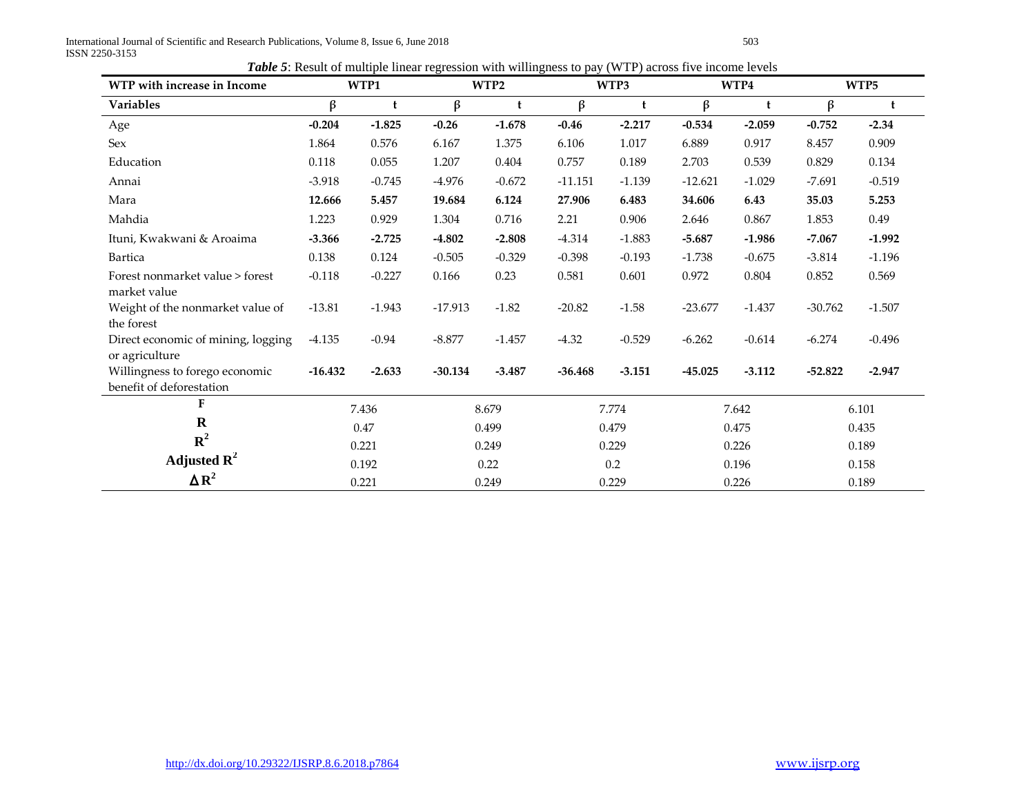International Journal of Scientific and Research Publications, Volume 8, Issue 6, June 2018 503 ISSN 2250-3153

| Table 5: Result of multiple linear regression with willingness to pay (WTP) across five income levels |  |  |  |
|-------------------------------------------------------------------------------------------------------|--|--|--|
|                                                                                                       |  |  |  |

| WTP with increase in Income                                |           | WTP1     |           | WTP2     |           | WTP3     |           | WTP4     |           | WTP5     |
|------------------------------------------------------------|-----------|----------|-----------|----------|-----------|----------|-----------|----------|-----------|----------|
| Variables                                                  | $\beta$   | t        | β         | t        | $\beta$   | t        | $\beta$   | t        | β         | t        |
| Age                                                        | $-0.204$  | $-1.825$ | $-0.26$   | $-1.678$ | $-0.46$   | $-2.217$ | $-0.534$  | $-2.059$ | $-0.752$  | $-2.34$  |
| Sex                                                        | 1.864     | 0.576    | 6.167     | 1.375    | 6.106     | 1.017    | 6.889     | 0.917    | 8.457     | 0.909    |
| Education                                                  | 0.118     | 0.055    | 1.207     | 0.404    | 0.757     | 0.189    | 2.703     | 0.539    | 0.829     | 0.134    |
| Annai                                                      | $-3.918$  | $-0.745$ | $-4.976$  | $-0.672$ | $-11.151$ | $-1.139$ | $-12.621$ | $-1.029$ | $-7.691$  | $-0.519$ |
| Mara                                                       | 12.666    | 5.457    | 19.684    | 6.124    | 27.906    | 6.483    | 34.606    | 6.43     | 35.03     | 5.253    |
| Mahdia                                                     | 1.223     | 0.929    | 1.304     | 0.716    | 2.21      | 0.906    | 2.646     | 0.867    | 1.853     | 0.49     |
| Ituni, Kwakwani & Aroaima                                  | $-3.366$  | $-2.725$ | $-4.802$  | $-2.808$ | $-4.314$  | $-1.883$ | $-5.687$  | $-1.986$ | $-7.067$  | $-1.992$ |
| Bartica                                                    | 0.138     | 0.124    | $-0.505$  | $-0.329$ | $-0.398$  | $-0.193$ | $-1.738$  | $-0.675$ | $-3.814$  | $-1.196$ |
| Forest nonmarket value > forest<br>market value            | $-0.118$  | $-0.227$ | 0.166     | 0.23     | 0.581     | 0.601    | 0.972     | 0.804    | 0.852     | 0.569    |
| Weight of the nonmarket value of<br>the forest             | $-13.81$  | $-1.943$ | $-17.913$ | $-1.82$  | $-20.82$  | $-1.58$  | $-23.677$ | $-1.437$ | $-30.762$ | $-1.507$ |
| Direct economic of mining, logging<br>or agriculture       | $-4.135$  | $-0.94$  | $-8.877$  | $-1.457$ | $-4.32$   | $-0.529$ | $-6.262$  | $-0.614$ | $-6.274$  | $-0.496$ |
| Willingness to forego economic<br>benefit of deforestation | $-16.432$ | $-2.633$ | $-30.134$ | $-3.487$ | $-36.468$ | $-3.151$ | $-45.025$ | $-3.112$ | $-52.822$ | $-2.947$ |
| F                                                          |           | 7.436    |           | 8.679    |           | 7.774    |           | 7.642    |           | 6.101    |
| $\mathbf R$                                                |           | 0.47     |           | 0.499    |           | 0.479    |           | 0.475    |           | 0.435    |
| ${\bf R}^2$                                                |           | 0.221    |           | 0.249    |           | 0.229    |           | 0.226    |           | 0.189    |
| Adjusted $\mathbb{R}^2$                                    |           | 0.192    |           | 0.22     |           | 0.2      |           | 0.196    |           | 0.158    |
| $\triangle R^2$                                            |           | 0.221    |           | 0.249    |           | 0.229    |           | 0.226    |           | 0.189    |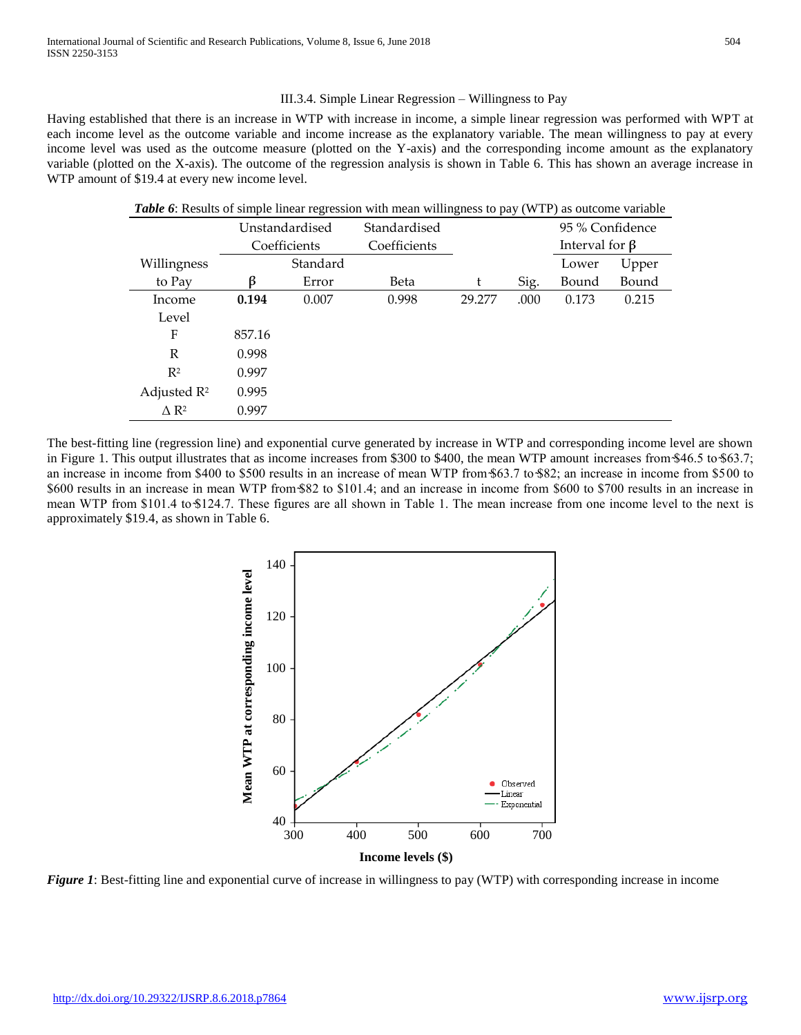## III.3.4. Simple Linear Regression – Willingness to Pay

Having established that there is an increase in WTP with increase in income, a simple linear regression was performed with WPT at each income level as the outcome variable and income increase as the explanatory variable. The mean willingness to pay at every income level was used as the outcome measure (plotted on the Y-axis) and the corresponding income amount as the explanatory variable (plotted on the X-axis). The outcome of the regression analysis is shown in Table 6. This has shown an average increase in WTP amount of \$19.4 at every new income level.

| <b>Table 6:</b> Results of simple linear regression with mean willingness to pay (WTP) as outcome variable |        |                |              |        |      |                      |       |  |
|------------------------------------------------------------------------------------------------------------|--------|----------------|--------------|--------|------|----------------------|-------|--|
|                                                                                                            |        | Unstandardised | Standardised |        |      | 95 % Confidence      |       |  |
|                                                                                                            |        | Coefficients   | Coefficients |        |      | Interval for $\beta$ |       |  |
| Willingness                                                                                                |        | Standard       |              |        |      | Lower                | Upper |  |
| to Pay                                                                                                     |        | Error          | Beta         | t      | Sig. | Bound                | Bound |  |
| Income                                                                                                     | 0.194  | 0.007          | 0.998        | 29.277 | .000 | 0.173                | 0.215 |  |
| Level                                                                                                      |        |                |              |        |      |                      |       |  |
| F                                                                                                          | 857.16 |                |              |        |      |                      |       |  |
| R                                                                                                          | 0.998  |                |              |        |      |                      |       |  |
| R <sup>2</sup>                                                                                             | 0.997  |                |              |        |      |                      |       |  |
| Adjusted $\mathbb{R}^2$                                                                                    | 0.995  |                |              |        |      |                      |       |  |
| $\Lambda$ R <sup>2</sup>                                                                                   | 0.997  |                |              |        |      |                      |       |  |

The best-fitting line (regression line) and exponential curve generated by increase in WTP and corresponding income level are shown in Figure 1. This output illustrates that as income increases from \$300 to \$400, the mean WTP amount increases from \$46.5 to \$63.7; an increase in income from \$400 to \$500 results in an increase of mean WTP from \$63.7 to \$82; an increase in income from \$500 to \$600 results in an increase in mean WTP from \$82 to \$101.4; and an increase in income from \$600 to \$700 results in an increase in mean WTP from \$101.4 to \$124.7. These figures are all shown in Table 1. The mean increase from one income level to the next is approximately \$19.4, as shown in Table 6.



*Figure 1*: Best-fitting line and exponential curve of increase in willingness to pay (WTP) with corresponding increase in income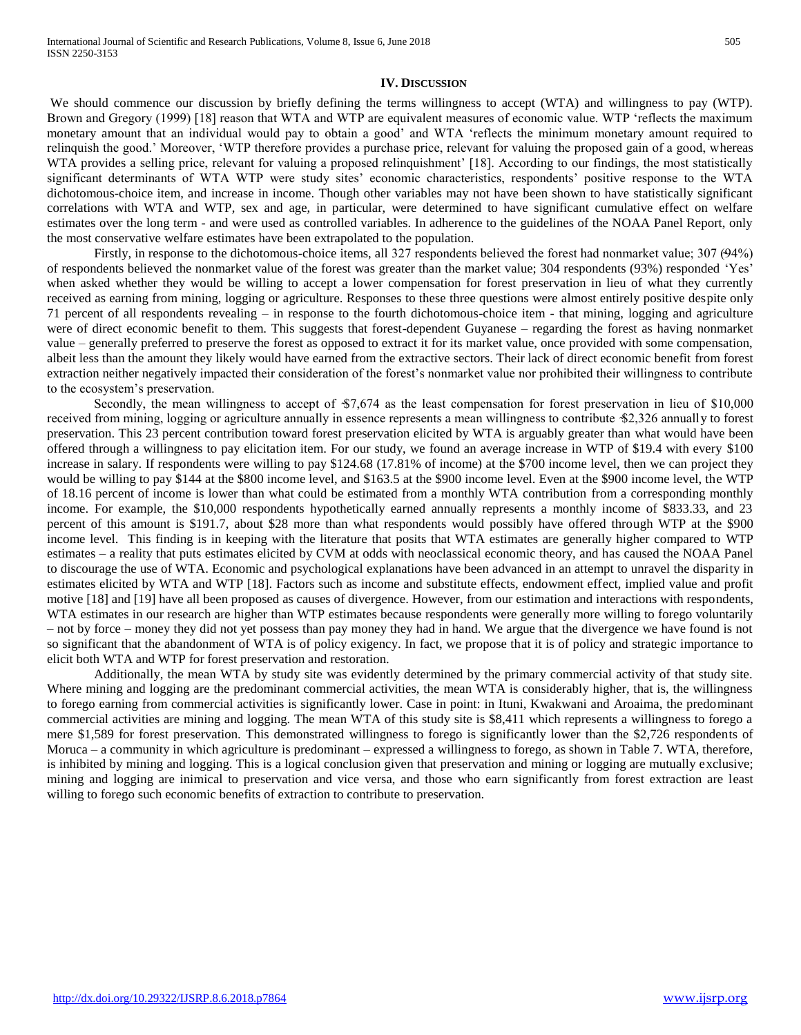#### **IV. DISCUSSION**

We should commence our discussion by briefly defining the terms willingness to accept (WTA) and willingness to pay (WTP). Brown and Gregory (1999) [18] reason that WTA and WTP are equivalent measures of economic value. WTP 'reflects the maximum monetary amount that an individual would pay to obtain a good' and WTA 'reflects the minimum monetary amount required to relinquish the good.' Moreover, 'WTP therefore provides a purchase price, relevant for valuing the proposed gain of a good, whereas WTA provides a selling price, relevant for valuing a proposed relinquishment' [18]. According to our findings, the most statistically significant determinants of WTA WTP were study sites' economic characteristics, respondents' positive response to the WTA dichotomous-choice item, and increase in income. Though other variables may not have been shown to have statistically significant correlations with WTA and WTP, sex and age, in particular, were determined to have significant cumulative effect on welfare estimates over the long term - and were used as controlled variables. In adherence to the guidelines of the NOAA Panel Report, only the most conservative welfare estimates have been extrapolated to the population.

Firstly, in response to the dichotomous-choice items, all 327 respondents believed the forest had nonmarket value; 307 (94%) of respondents believed the nonmarket value of the forest was greater than the market value; 304 respondents (93%) responded 'Yes' when asked whether they would be willing to accept a lower compensation for forest preservation in lieu of what they currently received as earning from mining, logging or agriculture. Responses to these three questions were almost entirely positive despite only 71 percent of all respondents revealing – in response to the fourth dichotomous-choice item - that mining, logging and agriculture were of direct economic benefit to them. This suggests that forest-dependent Guyanese – regarding the forest as having nonmarket value – generally preferred to preserve the forest as opposed to extract it for its market value, once provided with some compensation, albeit less than the amount they likely would have earned from the extractive sectors. Their lack of direct economic benefit from forest extraction neither negatively impacted their consideration of the forest's nonmarket value nor prohibited their willingness to contribute to the ecosystem's preservation.

Secondly, the mean willingness to accept of  $$7,674$  as the least compensation for forest preservation in lieu of \$10,000 received from mining, logging or agriculture annually in essence represents a mean willingness to contribute \$2,326 annually to forest preservation. This 23 percent contribution toward forest preservation elicited by WTA is arguably greater than what would have been offered through a willingness to pay elicitation item. For our study, we found an average increase in WTP of \$19.4 with every \$100 increase in salary. If respondents were willing to pay \$124.68 (17.81% of income) at the \$700 income level, then we can project they would be willing to pay \$144 at the \$800 income level, and \$163.5 at the \$900 income level. Even at the \$900 income level, the WTP of 18.16 percent of income is lower than what could be estimated from a monthly WTA contribution from a corresponding monthly income. For example, the \$10,000 respondents hypothetically earned annually represents a monthly income of \$833.33, and 23 percent of this amount is \$191.7, about \$28 more than what respondents would possibly have offered through WTP at the \$900 income level. This finding is in keeping with the literature that posits that WTA estimates are generally higher compared to WTP estimates – a reality that puts estimates elicited by CVM at odds with neoclassical economic theory, and has caused the NOAA Panel to discourage the use of WTA. Economic and psychological explanations have been advanced in an attempt to unravel the disparity in estimates elicited by WTA and WTP [18]. Factors such as income and substitute effects, endowment effect, implied value and profit motive [18] and [19] have all been proposed as causes of divergence. However, from our estimation and interactions with respondents, WTA estimates in our research are higher than WTP estimates because respondents were generally more willing to forego voluntarily – not by force – money they did not yet possess than pay money they had in hand. We argue that the divergence we have found is not so significant that the abandonment of WTA is of policy exigency. In fact, we propose that it is of policy and strategic importance to elicit both WTA and WTP for forest preservation and restoration.

Additionally, the mean WTA by study site was evidently determined by the primary commercial activity of that study site. Where mining and logging are the predominant commercial activities, the mean WTA is considerably higher, that is, the willingness to forego earning from commercial activities is significantly lower. Case in point: in Ituni, Kwakwani and Aroaima, the predominant commercial activities are mining and logging. The mean WTA of this study site is \$8,411 which represents a willingness to forego a mere \$1,589 for forest preservation. This demonstrated willingness to forego is significantly lower than the \$2,726 respondents of Moruca – a community in which agriculture is predominant – expressed a willingness to forego, as shown in Table 7. WTA, therefore, is inhibited by mining and logging. This is a logical conclusion given that preservation and mining or logging are mutually exclusive; mining and logging are inimical to preservation and vice versa, and those who earn significantly from forest extraction are least willing to forego such economic benefits of extraction to contribute to preservation.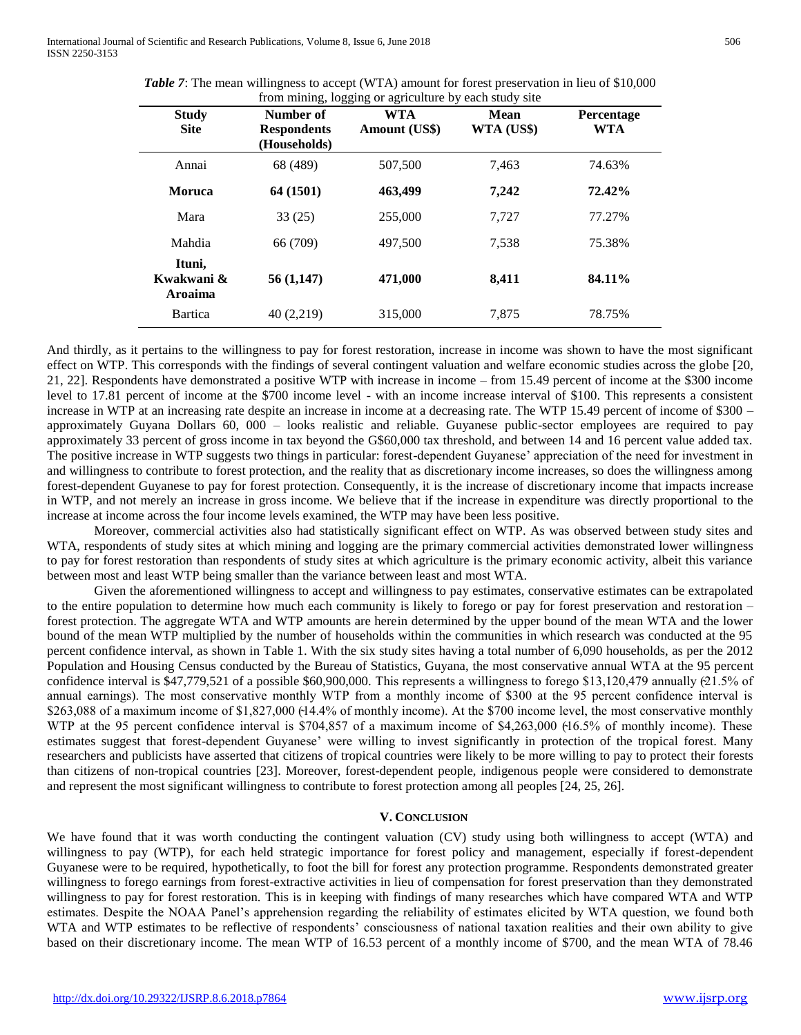| <b>Table 7:</b> The mean willingness to accept (WTA) amount for forest preservation in lieu of \$10,000 |
|---------------------------------------------------------------------------------------------------------|
| from mining, logging or agriculture by each study site                                                  |

| <b>Study</b><br><b>Site</b>     | ັ<br>Number of<br><b>Respondents</b><br>(Households) | ັັັ<br>ັ<br>WTA<br>Amount (US\$) | Mean<br>WTA (US\$) | Percentage<br><b>WTA</b> |
|---------------------------------|------------------------------------------------------|----------------------------------|--------------------|--------------------------|
| Annai                           | 68 (489)                                             | 507,500                          | 7,463              | 74.63%                   |
| <b>Moruca</b>                   | 64 (1501)                                            | 463,499                          | 7,242              | 72.42%                   |
| Mara                            | 33(25)                                               | 255,000                          | 7,727              | 77.27%                   |
| Mahdia                          | 66 (709)                                             | 497.500                          | 7,538              | 75.38%                   |
| Ituni,<br>Kwakwani &<br>Aroaima | 56(1,147)                                            | 471,000                          | 8.411              | 84.11%                   |
| Bartica                         | 40 (2,219)                                           | 315,000                          | 7,875              | 78.75%                   |

And thirdly, as it pertains to the willingness to pay for forest restoration, increase in income was shown to have the most significant effect on WTP. This corresponds with the findings of several contingent valuation and welfare economic studies across the globe [20, 21, 22]. Respondents have demonstrated a positive WTP with increase in income – from 15.49 percent of income at the \$300 income level to 17.81 percent of income at the \$700 income level - with an income increase interval of \$100. This represents a consistent increase in WTP at an increasing rate despite an increase in income at a decreasing rate. The WTP 15.49 percent of income of \$300 – approximately Guyana Dollars 60, 000 – looks realistic and reliable. Guyanese public-sector employees are required to pay approximately 33 percent of gross income in tax beyond the G\$60,000 tax threshold, and between 14 and 16 percent value added tax. The positive increase in WTP suggests two things in particular: forest-dependent Guyanese' appreciation of the need for investment in and willingness to contribute to forest protection, and the reality that as discretionary income increases, so does the willingness among forest-dependent Guyanese to pay for forest protection. Consequently, it is the increase of discretionary income that impacts increase in WTP, and not merely an increase in gross income. We believe that if the increase in expenditure was directly proportional to the increase at income across the four income levels examined, the WTP may have been less positive.

Moreover, commercial activities also had statistically significant effect on WTP. As was observed between study sites and WTA, respondents of study sites at which mining and logging are the primary commercial activities demonstrated lower willingness to pay for forest restoration than respondents of study sites at which agriculture is the primary economic activity, albeit this variance between most and least WTP being smaller than the variance between least and most WTA.

Given the aforementioned willingness to accept and willingness to pay estimates, conservative estimates can be extrapolated to the entire population to determine how much each community is likely to forego or pay for forest preservation and restoration – forest protection. The aggregate WTA and WTP amounts are herein determined by the upper bound of the mean WTA and the lower bound of the mean WTP multiplied by the number of households within the communities in which research was conducted at the 95 percent confidence interval, as shown in Table 1. With the six study sites having a total number of 6,090 households, as per the 2012 Population and Housing Census conducted by the Bureau of Statistics, Guyana, the most conservative annual WTA at the 95 percent confidence interval is \$47,779,521 of a possible \$60,900,000. This represents a willingness to forego \$13,120,479 annually (21.5% of annual earnings). The most conservative monthly WTP from a monthly income of \$300 at the 95 percent confidence interval is \$263,088 of a maximum income of \$1,827,000 (14.4% of monthly income). At the \$700 income level, the most conservative monthly WTP at the 95 percent confidence interval is \$704,857 of a maximum income of \$4,263,000 (16.5% of monthly income). These estimates suggest that forest-dependent Guyanese' were willing to invest significantly in protection of the tropical forest. Many researchers and publicists have asserted that citizens of tropical countries were likely to be more willing to pay to protect their forests than citizens of non-tropical countries [23]. Moreover, forest-dependent people, indigenous people were considered to demonstrate and represent the most significant willingness to contribute to forest protection among all peoples [24, 25, 26].

## **V. CONCLUSION**

We have found that it was worth conducting the contingent valuation (CV) study using both willingness to accept (WTA) and willingness to pay (WTP), for each held strategic importance for forest policy and management, especially if forest-dependent Guyanese were to be required, hypothetically, to foot the bill for forest any protection programme. Respondents demonstrated greater willingness to forego earnings from forest-extractive activities in lieu of compensation for forest preservation than they demonstrated willingness to pay for forest restoration. This is in keeping with findings of many researches which have compared WTA and WTP estimates. Despite the NOAA Panel's apprehension regarding the reliability of estimates elicited by WTA question, we found both WTA and WTP estimates to be reflective of respondents' consciousness of national taxation realities and their own ability to give based on their discretionary income. The mean WTP of 16.53 percent of a monthly income of \$700, and the mean WTA of 78.46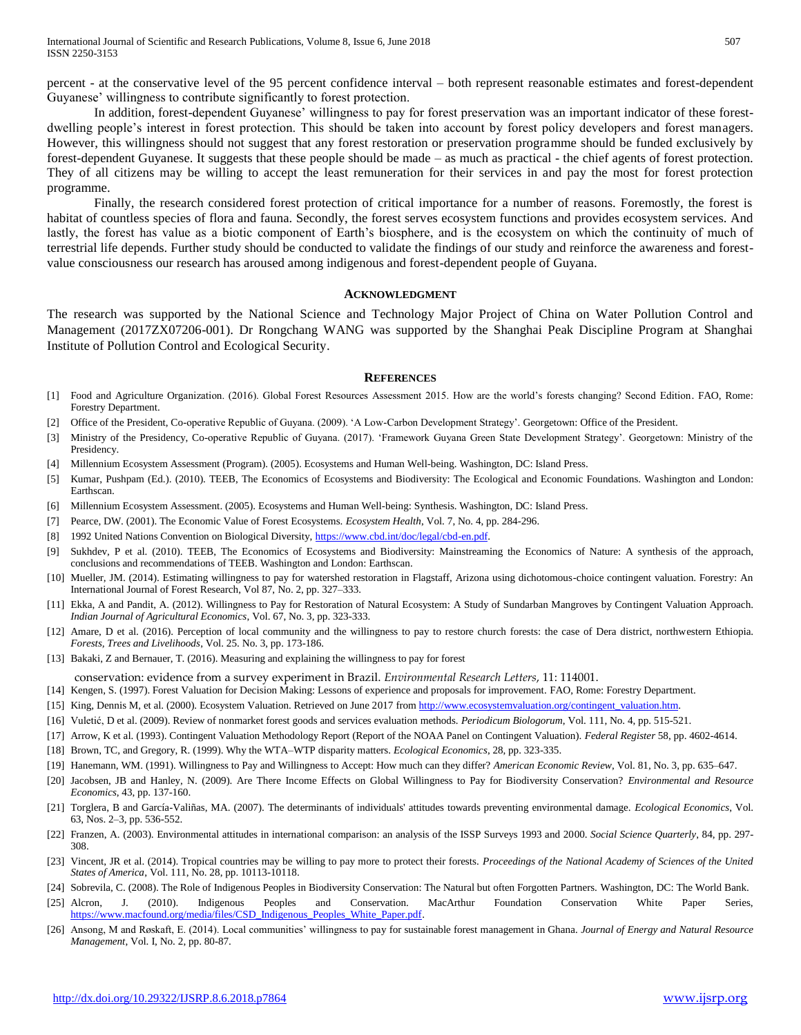percent - at the conservative level of the 95 percent confidence interval – both represent reasonable estimates and forest-dependent Guyanese' willingness to contribute significantly to forest protection.

In addition, forest-dependent Guyanese' willingness to pay for forest preservation was an important indicator of these forestdwelling people's interest in forest protection. This should be taken into account by forest policy developers and forest managers. However, this willingness should not suggest that any forest restoration or preservation programme should be funded exclusively by forest-dependent Guyanese. It suggests that these people should be made – as much as practical - the chief agents of forest protection. They of all citizens may be willing to accept the least remuneration for their services in and pay the most for forest protection programme.

Finally, the research considered forest protection of critical importance for a number of reasons. Foremostly, the forest is habitat of countless species of flora and fauna. Secondly, the forest serves ecosystem functions and provides ecosystem services. And lastly, the forest has value as a biotic component of Earth's biosphere, and is the ecosystem on which the continuity of much of terrestrial life depends. Further study should be conducted to validate the findings of our study and reinforce the awareness and forestvalue consciousness our research has aroused among indigenous and forest-dependent people of Guyana.

#### **ACKNOWLEDGMENT**

The research was supported by the National Science and Technology Major Project of China on Water Pollution Control and Management (2017ZX07206-001). Dr Rongchang WANG was supported by the Shanghai Peak Discipline Program at Shanghai Institute of Pollution Control and Ecological Security.

#### **REFERENCES**

- [1] Food and Agriculture Organization. (2016). Global Forest Resources Assessment 2015. How are the world's forests changing? Second Edition. FAO, Rome: Forestry Department.
- [2] Office of the President, Co-operative Republic of Guyana. (2009). 'A Low-Carbon Development Strategy'. Georgetown: Office of the President.
- [3] Ministry of the Presidency, Co-operative Republic of Guyana. (2017). 'Framework Guyana Green State Development Strategy'. Georgetown: Ministry of the Presidency.
- [4] Millennium Ecosystem Assessment (Program). (2005). Ecosystems and Human Well-being. Washington, DC: Island Press.
- [5] Kumar, Pushpam (Ed.). (2010). TEEB, The Economics of Ecosystems and Biodiversity: The Ecological and Economic Foundations. Washington and London: Earthscan.
- [6] Millennium Ecosystem Assessment. (2005). Ecosystems and Human Well-being: Synthesis. Washington, DC: Island Press.
- [7] Pearce, DW. (2001). The Economic Value of Forest Ecosystems. *Ecosystem Health*, Vol. 7, No. 4, pp. 284-296.
- [8] 1992 United Nations Convention on Biological Diversity, [https://www.cbd.int/doc/legal/cbd-en.pdf.](https://www.cbd.int/doc/legal/cbd-en.pdf)
- [9] Sukhdev, P et al. (2010). TEEB, The Economics of Ecosystems and Biodiversity: Mainstreaming the Economics of Nature: A synthesis of the approach, conclusions and recommendations of TEEB. Washington and London: Earthscan.
- [10] Mueller, JM. (2014). Estimating willingness to pay for watershed restoration in Flagstaff, Arizona using dichotomous-choice contingent valuation. Forestry: An International Journal of Forest Research, Vol 87, No. 2, pp. 327–333.
- [11] Ekka, A and Pandit, A. (2012). Willingness to Pay for Restoration of Natural Ecosystem: A Study of Sundarban Mangroves by Contingent Valuation Approach. *Indian Journal of Agricultural Economics*, Vol. 67, No. 3, pp. 323-333.
- [12] Amare, D et al. (2016). Perception of local community and the willingness to pay to restore church forests: the case of Dera district, northwestern Ethiopia. *Forests, Trees and Livelihoods*, Vol. 25. No. 3, pp. 173-186.
- [13] Bakaki, Z and Bernauer, T. (2016). Measuring and explaining the willingness to pay for forest
- conservation: evidence from a survey experiment in Brazil. *Environmental Research Letters*, 11: 114001.
- [14] Kengen, S. (1997). Forest Valuation for Decision Making: Lessons of experience and proposals for improvement. FAO, Rome: Forestry Department.
- [15] King, Dennis M, et al. (2000). Ecosystem Valuation. Retrieved on June 2017 fro[m http://www.ecosystemvaluation.org/contingent\\_valuation.htm.](http://www.ecosystemvaluation.org/contingent_valuation.htm)
- [16] Vuletić, D et al. (2009). Review of nonmarket forest goods and services evaluation methods. *Periodicum Biologorum*, Vol. 111, No. 4, pp. 515-521.
- [17] Arrow, K et al. (1993). Contingent Valuation Methodology Report (Report of the NOAA Panel on Contingent Valuation). *Federal Register* 58, pp. 4602-4614.
- [18] Brown, TC, and Gregory, R. (1999). Why the WTA–WTP disparity matters. *Ecological Economics*, 28, pp. 323-335.
- [19] Hanemann, WM. (1991). Willingness to Pay and Willingness to Accept: How much can they differ? *American Economic Review*, Vol. 81, No. 3, pp. 635–647.
- [20] Jacobsen, JB and Hanley, N. (2009). Are There Income Effects on Global Willingness to Pay for Biodiversity Conservation? *Environmental and Resource Economics*, 43, pp. 137-160.
- [21] Torglera, B and García-Valiñas, MA. (2007). The determinants of individuals' attitudes towards preventing environmental damage. *Ecological Economics*, Vol. 63, Nos. 2–3, pp. 536-552.
- [22] Franzen, A. (2003). Environmental attitudes in international comparison: an analysis of the ISSP Surveys 1993 and 2000. *Social Science Quarterly*, 84, pp. 297- 308.
- [23] Vincent, JR et al. (2014). Tropical countries may be willing to pay more to protect their forests. *Proceedings of the National Academy of Sciences of the United States of America*, Vol. 111, No. 28, pp. 10113-10118.
- [24] Sobrevila, C. (2008). The Role of Indigenous Peoples in Biodiversity Conservation: The Natural but often Forgotten Partners. Washington, DC: The World Bank.
- [25] Alcron, J. (2010). Indigenous Peoples and Conservation. MacArthur Foundation Conservation White Paper Series, [https://www.macfound.org/media/files/CSD\\_Indigenous\\_Peoples\\_White\\_Paper.pdf.](https://www.macfound.org/media/files/CSD_Indigenous_Peoples_White_Paper.pdf)
- [26] Ansong, M and Røskaft, E. (2014). Local communities' willingness to pay for sustainable forest management in Ghana. *Journal of Energy and Natural Resource Management*, Vol. I, No. 2, pp. 80-87.